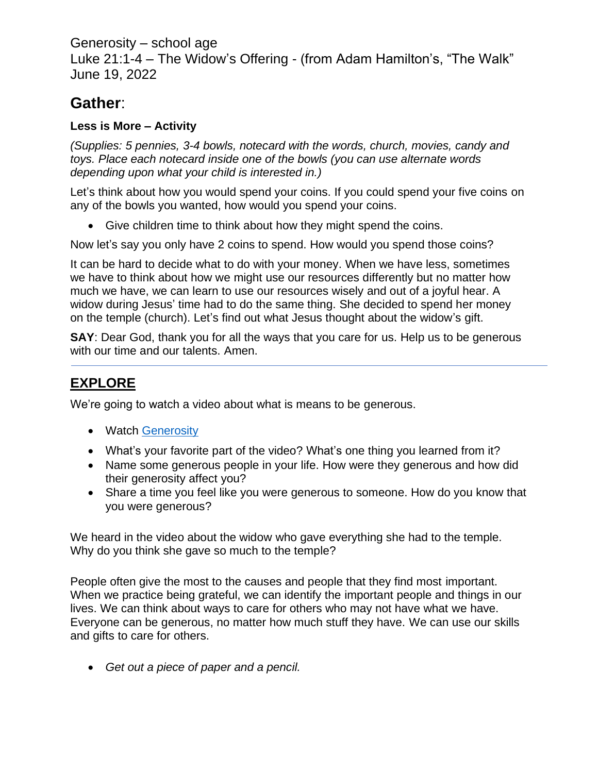Generosity – school age

Luke 21:1-4 – The Widow's Offering - (from Adam Hamilton's, "The Walk" June 19, 2022

## **Gather**:

## **Less is More – Activity**

*(Supplies: 5 pennies, 3-4 bowls, notecard with the words, church, movies, candy and toys. Place each notecard inside one of the bowls (you can use alternate words depending upon what your child is interested in.)*

Let's think about how you would spend your coins. If you could spend your five coins on any of the bowls you wanted, how would you spend your coins.

• Give children time to think about how they might spend the coins.

Now let's say you only have 2 coins to spend. How would you spend those coins?

It can be hard to decide what to do with your money. When we have less, sometimes we have to think about how we might use our resources differently but no matter how much we have, we can learn to use our resources wisely and out of a joyful hear. A widow during Jesus' time had to do the same thing. She decided to spend her money on the temple (church). Let's find out what Jesus thought about the widow's gift.

**SAY**: Dear God, thank you for all the ways that you care for us. Help us to be generous with our time and our talents. Amen.

## **EXPLORE**

We're going to watch a video about what is means to be generous.

- Watch [Generosity](https://www.pursuegodkids.org/generosity/)
- What's your favorite part of the video? What's one thing you learned from it?
- Name some generous people in your life. How were they generous and how did their generosity affect you?
- Share a time you feel like you were generous to someone. How do you know that you were generous?

We heard in the video about the widow who gave everything she had to the temple. Why do you think she gave so much to the temple?

People often give the most to the causes and people that they find most important. When we practice being grateful, we can identify the important people and things in our lives. We can think about ways to care for others who may not have what we have. Everyone can be generous, no matter how much stuff they have. We can use our skills and gifts to care for others.

• *Get out a piece of paper and a pencil.*